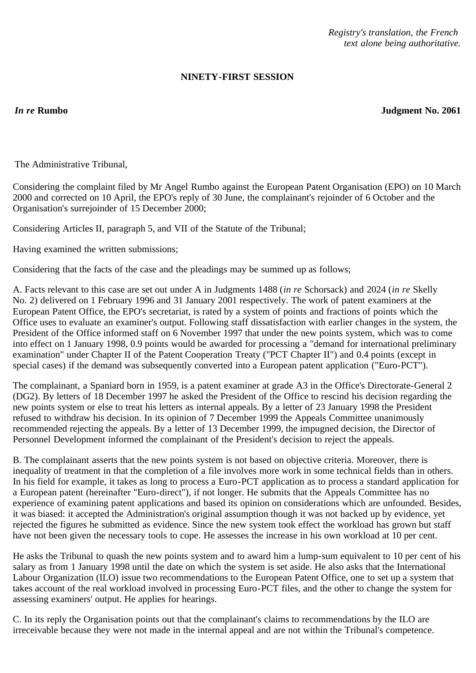*Registry's translation, the French text alone being authoritative.*

## **NINETY-FIRST SESSION**

*In re* **Rumbo Judgment No. 2061**

The Administrative Tribunal,

Considering the complaint filed by Mr Angel Rumbo against the European Patent Organisation (EPO) on 10 March 2000 and corrected on 10 April, the EPO's reply of 30 June, the complainant's rejoinder of 6 October and the Organisation's surrejoinder of 15 December 2000;

Considering Articles II, paragraph 5, and VII of the Statute of the Tribunal;

Having examined the written submissions;

Considering that the facts of the case and the pleadings may be summed up as follows;

A. Facts relevant to this case are set out under A in Judgments 1488 (*in re* Schorsack) and 2024 (*in re* Skelly No. 2) delivered on 1 February 1996 and 31 January 2001 respectively. The work of patent examiners at the European Patent Office, the EPO's secretariat, is rated by a system of points and fractions of points which the Office uses to evaluate an examiner's output. Following staff dissatisfaction with earlier changes in the system, the President of the Office informed staff on 6 November 1997 that under the new points system, which was to come into effect on 1 January 1998, 0.9 points would be awarded for processing a "demand for international preliminary examination" under Chapter II of the Patent Cooperation Treaty ("PCT Chapter II") and 0.4 points (except in special cases) if the demand was subsequently converted into a European patent application ("Euro-PCT").

The complainant, a Spaniard born in 1959, is a patent examiner at grade A3 in the Office's Directorate-General 2 (DG2). By letters of 18 December 1997 he asked the President of the Office to rescind his decision regarding the new points system or else to treat his letters as internal appeals. By a letter of 23 January 1998 the President refused to withdraw his decision. In its opinion of 7 December 1999 the Appeals Committee unanimously recommended rejecting the appeals. By a letter of 13 December 1999, the impugned decision, the Director of Personnel Development informed the complainant of the President's decision to reject the appeals.

B. The complainant asserts that the new points system is not based on objective criteria. Moreover, there is inequality of treatment in that the completion of a file involves more work in some technical fields than in others. In his field for example, it takes as long to process a Euro-PCT application as to process a standard application for a European patent (hereinafter "Euro-direct"), if not longer. He submits that the Appeals Committee has no experience of examining patent applications and based its opinion on considerations which are unfounded. Besides, it was biased: it accepted the Administration's original assumption though it was not backed up by evidence, yet rejected the figures he submitted as evidence. Since the new system took effect the workload has grown but staff have not been given the necessary tools to cope. He assesses the increase in his own workload at 10 per cent.

He asks the Tribunal to quash the new points system and to award him a lump-sum equivalent to 10 per cent of his salary as from 1 January 1998 until the date on which the system is set aside. He also asks that the International Labour Organization (ILO) issue two recommendations to the European Patent Office, one to set up a system that takes account of the real workload involved in processing Euro-PCT files, and the other to change the system for assessing examiners' output. He applies for hearings.

C. In its reply the Organisation points out that the complainant's claims to recommendations by the ILO are irreceivable because they were not made in the internal appeal and are not within the Tribunal's competence.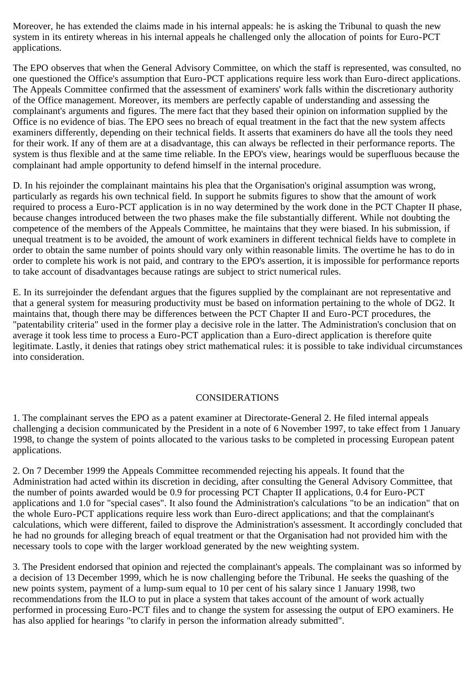Moreover, he has extended the claims made in his internal appeals: he is asking the Tribunal to quash the new system in its entirety whereas in his internal appeals he challenged only the allocation of points for Euro-PCT applications.

The EPO observes that when the General Advisory Committee, on which the staff is represented, was consulted, no one questioned the Office's assumption that Euro-PCT applications require less work than Euro-direct applications. The Appeals Committee confirmed that the assessment of examiners' work falls within the discretionary authority of the Office management. Moreover, its members are perfectly capable of understanding and assessing the complainant's arguments and figures. The mere fact that they based their opinion on information supplied by the Office is no evidence of bias. The EPO sees no breach of equal treatment in the fact that the new system affects examiners differently, depending on their technical fields. It asserts that examiners do have all the tools they need for their work. If any of them are at a disadvantage, this can always be reflected in their performance reports. The system is thus flexible and at the same time reliable. In the EPO's view, hearings would be superfluous because the complainant had ample opportunity to defend himself in the internal procedure.

D. In his rejoinder the complainant maintains his plea that the Organisation's original assumption was wrong, particularly as regards his own technical field. In support he submits figures to show that the amount of work required to process a Euro-PCT application is in no way determined by the work done in the PCT Chapter II phase, because changes introduced between the two phases make the file substantially different. While not doubting the competence of the members of the Appeals Committee, he maintains that they were biased. In his submission, if unequal treatment is to be avoided, the amount of work examiners in different technical fields have to complete in order to obtain the same number of points should vary only within reasonable limits. The overtime he has to do in order to complete his work is not paid, and contrary to the EPO's assertion, it is impossible for performance reports to take account of disadvantages because ratings are subject to strict numerical rules.

E. In its surrejoinder the defendant argues that the figures supplied by the complainant are not representative and that a general system for measuring productivity must be based on information pertaining to the whole of DG2. It maintains that, though there may be differences between the PCT Chapter II and Euro-PCT procedures, the "patentability criteria" used in the former play a decisive role in the latter. The Administration's conclusion that on average it took less time to process a Euro-PCT application than a Euro-direct application is therefore quite legitimate. Lastly, it denies that ratings obey strict mathematical rules: it is possible to take individual circumstances into consideration.

## CONSIDERATIONS

1. The complainant serves the EPO as a patent examiner at Directorate-General 2. He filed internal appeals challenging a decision communicated by the President in a note of 6 November 1997, to take effect from 1 January 1998, to change the system of points allocated to the various tasks to be completed in processing European patent applications.

2. On 7 December 1999 the Appeals Committee recommended rejecting his appeals. It found that the Administration had acted within its discretion in deciding, after consulting the General Advisory Committee, that the number of points awarded would be 0.9 for processing PCT Chapter II applications, 0.4 for Euro-PCT applications and 1.0 for "special cases". It also found the Administration's calculations "to be an indication" that on the whole Euro-PCT applications require less work than Euro-direct applications; and that the complainant's calculations, which were different, failed to disprove the Administration's assessment. It accordingly concluded that he had no grounds for alleging breach of equal treatment or that the Organisation had not provided him with the necessary tools to cope with the larger workload generated by the new weighting system.

3. The President endorsed that opinion and rejected the complainant's appeals. The complainant was so informed by a decision of 13 December 1999, which he is now challenging before the Tribunal. He seeks the quashing of the new points system, payment of a lump-sum equal to 10 per cent of his salary since 1 January 1998, two recommendations from the ILO to put in place a system that takes account of the amount of work actually performed in processing Euro-PCT files and to change the system for assessing the output of EPO examiners. He has also applied for hearings "to clarify in person the information already submitted".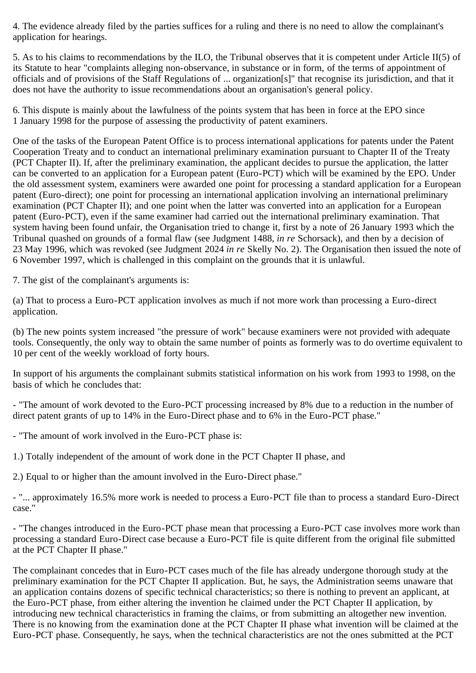4. The evidence already filed by the parties suffices for a ruling and there is no need to allow the complainant's application for hearings.

5. As to his claims to recommendations by the ILO, the Tribunal observes that it is competent under Article II(5) of its Statute to hear "complaints alleging non-observance, in substance or in form, of the terms of appointment of officials and of provisions of the Staff Regulations of ... organization[s]" that recognise its jurisdiction, and that it does not have the authority to issue recommendations about an organisation's general policy.

6. This dispute is mainly about the lawfulness of the points system that has been in force at the EPO since 1 January 1998 for the purpose of assessing the productivity of patent examiners.

One of the tasks of the European Patent Office is to process international applications for patents under the Patent Cooperation Treaty and to conduct an international preliminary examination pursuant to Chapter II of the Treaty (PCT Chapter II). If, after the preliminary examination, the applicant decides to pursue the application, the latter can be converted to an application for a European patent (Euro-PCT) which will be examined by the EPO. Under the old assessment system, examiners were awarded one point for processing a standard application for a European patent (Euro-direct); one point for processing an international application involving an international preliminary examination (PCT Chapter II); and one point when the latter was converted into an application for a European patent (Euro-PCT), even if the same examiner had carried out the international preliminary examination. That system having been found unfair, the Organisation tried to change it, first by a note of 26 January 1993 which the Tribunal quashed on grounds of a formal flaw (see Judgment 1488, *in re* Schorsack), and then by a decision of 23 May 1996, which was revoked (see Judgment 2024 *in re* Skelly No. 2). The Organisation then issued the note of 6 November 1997, which is challenged in this complaint on the grounds that it is unlawful.

7. The gist of the complainant's arguments is:

(a) That to process a Euro-PCT application involves as much if not more work than processing a Euro-direct application.

(b) The new points system increased "the pressure of work" because examiners were not provided with adequate tools. Consequently, the only way to obtain the same number of points as formerly was to do overtime equivalent to 10 per cent of the weekly workload of forty hours.

In support of his arguments the complainant submits statistical information on his work from 1993 to 1998, on the basis of which he concludes that:

- "The amount of work devoted to the Euro-PCT processing increased by 8% due to a reduction in the number of direct patent grants of up to 14% in the Euro-Direct phase and to 6% in the Euro-PCT phase."

- "The amount of work involved in the Euro-PCT phase is:

1.) Totally independent of the amount of work done in the PCT Chapter II phase, and

2.) Equal to or higher than the amount involved in the Euro-Direct phase."

- "... approximately 16.5% more work is needed to process a Euro-PCT file than to process a standard Euro-Direct case."

- "The changes introduced in the Euro-PCT phase mean that processing a Euro-PCT case involves more work than processing a standard Euro-Direct case because a Euro-PCT file is quite different from the original file submitted at the PCT Chapter II phase."

The complainant concedes that in Euro-PCT cases much of the file has already undergone thorough study at the preliminary examination for the PCT Chapter II application. But, he says, the Administration seems unaware that an application contains dozens of specific technical characteristics; so there is nothing to prevent an applicant, at the Euro-PCT phase, from either altering the invention he claimed under the PCT Chapter II application, by introducing new technical characteristics in framing the claims, or from submitting an altogether new invention. There is no knowing from the examination done at the PCT Chapter II phase what invention will be claimed at the Euro-PCT phase. Consequently, he says, when the technical characteristics are not the ones submitted at the PCT